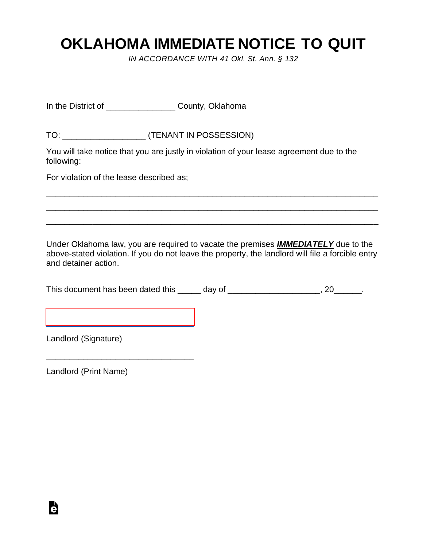## **OKLAHOMA IMMEDIATE NOTICE TO QUIT**

*IN ACCORDANCE WITH 41 Okl. St. Ann. § 132*

| In the District of ______________________County, Oklahoma                                                                                                                                                              |  |  |
|------------------------------------------------------------------------------------------------------------------------------------------------------------------------------------------------------------------------|--|--|
|                                                                                                                                                                                                                        |  |  |
| You will take notice that you are justly in violation of your lease agreement due to the<br>following:                                                                                                                 |  |  |
| For violation of the lease described as:                                                                                                                                                                               |  |  |
|                                                                                                                                                                                                                        |  |  |
|                                                                                                                                                                                                                        |  |  |
| Under Oklahoma law, you are required to vacate the premises <b>IMMEDIATELY</b> due to the<br>above-stated violation. If you do not leave the property, the landlord will file a forcible entry<br>and detainer action. |  |  |
| This document has been dated this ______ day of ______________________, 20_______.                                                                                                                                     |  |  |

Landlord (Signature)

[\\_\\_\\_\\_\\_\\_\\_\\_\\_\\_\\_\\_\\_\\_\\_\\_\\_\\_\\_\\_\\_\\_\\_\\_\\_\\_\\_\\_\\_\\_\\_\\_](https://esign.com)

\_\_\_\_\_\_\_\_\_\_\_\_\_\_\_\_\_\_\_\_\_\_\_\_\_\_\_\_\_\_\_\_

Landlord (Print Name)

è